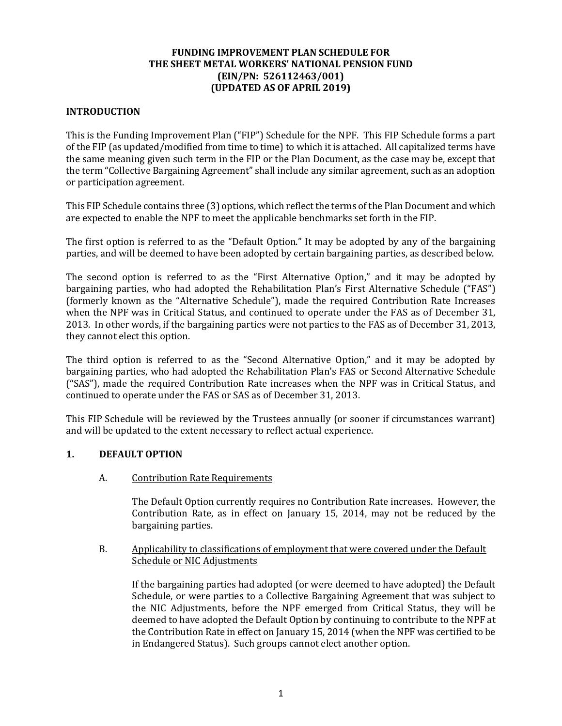# **FUNDING IMPROVEMENT PLAN SCHEDULE FOR THE SHEET METAL WORKERS' NATIONAL PENSION FUND (EIN/PN: 526112463/001) (UPDATED AS OF APRIL 2019)**

### **INTRODUCTION**

This is the Funding Improvement Plan ("FIP") Schedule for the NPF. This FIP Schedule forms a part of the FIP (as updated/modified from time to time) to which it is attached. All capitalized terms have the same meaning given such term in the FIP or the Plan Document, as the case may be, except that the term "Collective Bargaining Agreement" shall include any similar agreement, such as an adoption or participation agreement.

This FIP Schedule contains three (3) options, which reflect the terms of the Plan Document and which are expected to enable the NPF to meet the applicable benchmarks set forth in the FIP.

The first option is referred to as the "Default Option." It may be adopted by any of the bargaining parties, and will be deemed to have been adopted by certain bargaining parties, as described below.

The second option is referred to as the "First Alternative Option," and it may be adopted by bargaining parties, who had adopted the Rehabilitation Plan's First Alternative Schedule ("FAS") (formerly known as the "Alternative Schedule"), made the required Contribution Rate Increases when the NPF was in Critical Status, and continued to operate under the FAS as of December 31, 2013. In other words, if the bargaining parties were not parties to the FAS as of December 31, 2013, they cannot elect this option.

The third option is referred to as the "Second Alternative Option," and it may be adopted by bargaining parties, who had adopted the Rehabilitation Plan's FAS or Second Alternative Schedule ("SAS"), made the required Contribution Rate increases when the NPF was in Critical Status, and continued to operate under the FAS or SAS as of December 31, 2013.

This FIP Schedule will be reviewed by the Trustees annually (or sooner if circumstances warrant) and will be updated to the extent necessary to reflect actual experience.

#### **1. DEFAULT OPTION**

#### A. Contribution Rate Requirements

The Default Option currently requires no Contribution Rate increases. However, the Contribution Rate, as in effect on January 15, 2014, may not be reduced by the bargaining parties.

#### B. Applicability to classifications of employment that were covered under the Default Schedule or NIC Adjustments

If the bargaining parties had adopted (or were deemed to have adopted) the Default Schedule, or were parties to a Collective Bargaining Agreement that was subject to the NIC Adjustments, before the NPF emerged from Critical Status, they will be deemed to have adopted the Default Option by continuing to contribute to the NPF at the Contribution Rate in effect on January 15, 2014 (when the NPF was certified to be in Endangered Status). Such groups cannot elect another option.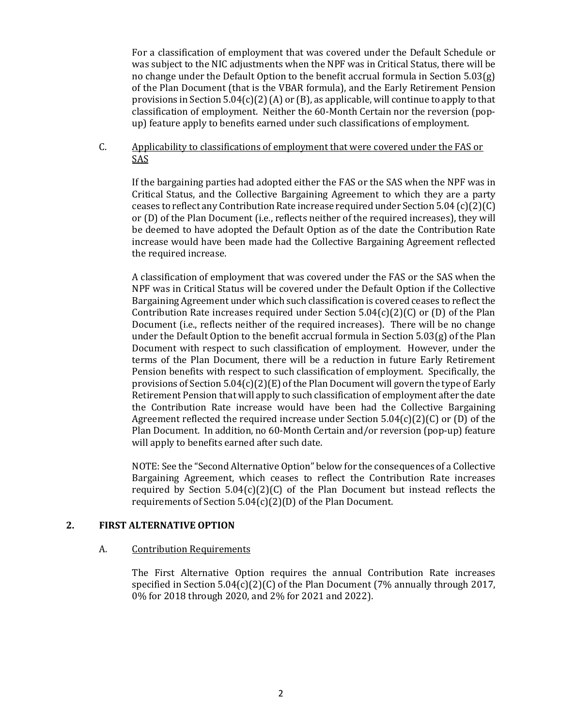For a classification of employment that was covered under the Default Schedule or was subject to the NIC adjustments when the NPF was in Critical Status, there will be no change under the Default Option to the benefit accrual formula in Section 5.03(g) of the Plan Document (that is the VBAR formula), and the Early Retirement Pension provisions in Section 5.04(c)(2) (A) or (B), as applicable, will continue to apply to that classification of employment. Neither the 60-Month Certain nor the reversion (popup) feature apply to benefits earned under such classifications of employment.

C. Applicability to classifications of employment that were covered under the FAS or SAS

If the bargaining parties had adopted either the FAS or the SAS when the NPF was in Critical Status, and the Collective Bargaining Agreement to which they are a party ceases to reflect any Contribution Rate increase required under Section 5.04 (c)(2)(C) or (D) of the Plan Document (i.e., reflects neither of the required increases), they will be deemed to have adopted the Default Option as of the date the Contribution Rate increase would have been made had the Collective Bargaining Agreement reflected the required increase.

A classification of employment that was covered under the FAS or the SAS when the NPF was in Critical Status will be covered under the Default Option if the Collective Bargaining Agreement under which such classification is covered ceases to reflect the Contribution Rate increases required under Section  $5.04(c)(2)(C)$  or (D) of the Plan Document (i.e., reflects neither of the required increases). There will be no change under the Default Option to the benefit accrual formula in Section  $5.03(g)$  of the Plan Document with respect to such classification of employment. However, under the terms of the Plan Document, there will be a reduction in future Early Retirement Pension benefits with respect to such classification of employment. Specifically, the provisions of Section  $5.04(c)(2)(E)$  of the Plan Document will govern the type of Early Retirement Pension that will apply to such classification of employment after the date the Contribution Rate increase would have been had the Collective Bargaining Agreement reflected the required increase under Section  $5.04(c)(2)(C)$  or (D) of the Plan Document. In addition, no 60-Month Certain and/or reversion (pop-up) feature will apply to benefits earned after such date.

NOTE: See the "Second Alternative Option" below for the consequences of a Collective Bargaining Agreement, which ceases to reflect the Contribution Rate increases required by Section 5.04(c)(2)(C) of the Plan Document but instead reflects the requirements of Section 5.04(c)(2)(D) of the Plan Document.

#### **2. FIRST ALTERNATIVE OPTION**

#### A. Contribution Requirements

The First Alternative Option requires the annual Contribution Rate increases specified in Section 5.04(c)(2)(C) of the Plan Document (7% annually through 2017, 0% for 2018 through 2020, and 2% for 2021 and 2022).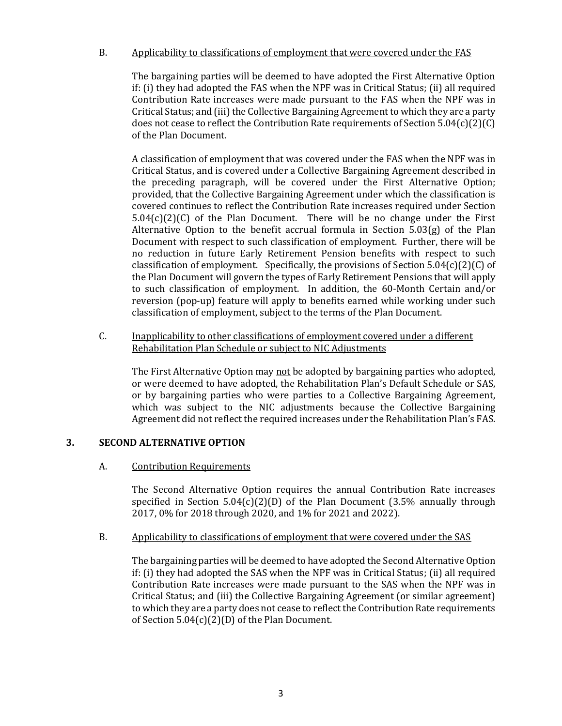# B. Applicability to classifications of employment that were covered under the FAS

The bargaining parties will be deemed to have adopted the First Alternative Option if: (i) they had adopted the FAS when the NPF was in Critical Status; (ii) all required Contribution Rate increases were made pursuant to the FAS when the NPF was in Critical Status; and (iii) the Collective Bargaining Agreement to which they are a party does not cease to reflect the Contribution Rate requirements of Section 5.04(c)(2)(C) of the Plan Document.

A classification of employment that was covered under the FAS when the NPF was in Critical Status, and is covered under a Collective Bargaining Agreement described in the preceding paragraph, will be covered under the First Alternative Option; provided, that the Collective Bargaining Agreement under which the classification is covered continues to reflect the Contribution Rate increases required under Section  $5.04(c)(2)(C)$  of the Plan Document. There will be no change under the First Alternative Option to the benefit accrual formula in Section 5.03(g) of the Plan Document with respect to such classification of employment. Further, there will be no reduction in future Early Retirement Pension benefits with respect to such classification of employment. Specifically, the provisions of Section  $5.04(c)(2)(C)$  of the Plan Document will govern the types of Early Retirement Pensions that will apply to such classification of employment. In addition, the 60-Month Certain and/or reversion (pop-up) feature will apply to benefits earned while working under such classification of employment, subject to the terms of the Plan Document.

C. Inapplicability to other classifications of employment covered under a different Rehabilitation Plan Schedule or subject to NIC Adjustments

The First Alternative Option may not be adopted by bargaining parties who adopted, or were deemed to have adopted, the Rehabilitation Plan's Default Schedule or SAS, or by bargaining parties who were parties to a Collective Bargaining Agreement, which was subject to the NIC adjustments because the Collective Bargaining Agreement did not reflect the required increases under the Rehabilitation Plan's FAS.

#### **3. SECOND ALTERNATIVE OPTION**

# A. Contribution Requirements

The Second Alternative Option requires the annual Contribution Rate increases specified in Section  $5.04(c)(2)(D)$  of the Plan Document (3.5% annually through 2017, 0% for 2018 through 2020, and 1% for 2021 and 2022).

#### B. Applicability to classifications of employment that were covered under the SAS

The bargaining parties will be deemed to have adopted the Second Alternative Option if: (i) they had adopted the SAS when the NPF was in Critical Status; (ii) all required Contribution Rate increases were made pursuant to the SAS when the NPF was in Critical Status; and (iii) the Collective Bargaining Agreement (or similar agreement) to which they are a party does not cease to reflect the Contribution Rate requirements of Section 5.04(c)(2)(D) of the Plan Document.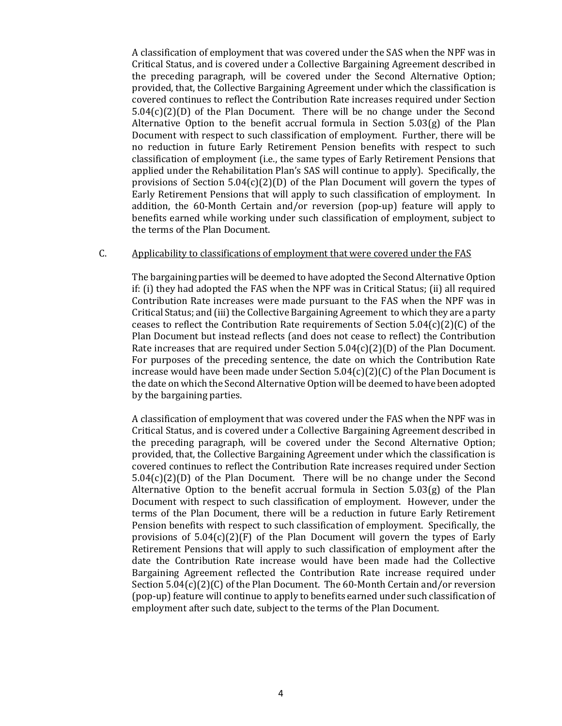A classification of employment that was covered under the SAS when the NPF was in Critical Status, and is covered under a Collective Bargaining Agreement described in the preceding paragraph, will be covered under the Second Alternative Option; provided, that, the Collective Bargaining Agreement under which the classification is covered continues to reflect the Contribution Rate increases required under Section  $5.04(c)(2)(D)$  of the Plan Document. There will be no change under the Second Alternative Option to the benefit accrual formula in Section 5.03(g) of the Plan Document with respect to such classification of employment. Further, there will be no reduction in future Early Retirement Pension benefits with respect to such classification of employment (i.e., the same types of Early Retirement Pensions that applied under the Rehabilitation Plan's SAS will continue to apply). Specifically, the provisions of Section  $5.04(c)(2)(D)$  of the Plan Document will govern the types of Early Retirement Pensions that will apply to such classification of employment. In addition, the 60-Month Certain and/or reversion (pop-up) feature will apply to benefits earned while working under such classification of employment, subject to the terms of the Plan Document.

#### C. Applicability to classifications of employment that were covered under the FAS

The bargaining parties will be deemed to have adopted the Second Alternative Option if: (i) they had adopted the FAS when the NPF was in Critical Status; (ii) all required Contribution Rate increases were made pursuant to the FAS when the NPF was in Critical Status; and (iii) the Collective Bargaining Agreement to which they are a party ceases to reflect the Contribution Rate requirements of Section  $5.04(c)(2)(C)$  of the Plan Document but instead reflects (and does not cease to reflect) the Contribution Rate increases that are required under Section  $5.04(c)(2)(D)$  of the Plan Document. For purposes of the preceding sentence, the date on which the Contribution Rate increase would have been made under Section  $5.04(c)(2)(C)$  of the Plan Document is the date on which the Second Alternative Option will be deemed to have been adopted by the bargaining parties.

A classification of employment that was covered under the FAS when the NPF was in Critical Status, and is covered under a Collective Bargaining Agreement described in the preceding paragraph, will be covered under the Second Alternative Option; provided, that, the Collective Bargaining Agreement under which the classification is covered continues to reflect the Contribution Rate increases required under Section  $5.04(c)(2)(D)$  of the Plan Document. There will be no change under the Second Alternative Option to the benefit accrual formula in Section 5.03(g) of the Plan Document with respect to such classification of employment. However, under the terms of the Plan Document, there will be a reduction in future Early Retirement Pension benefits with respect to such classification of employment. Specifically, the provisions of  $5.04(c)(2)(F)$  of the Plan Document will govern the types of Early Retirement Pensions that will apply to such classification of employment after the date the Contribution Rate increase would have been made had the Collective Bargaining Agreement reflected the Contribution Rate increase required under Section 5.04(c)(2)(C) of the Plan Document. The 60-Month Certain and/or reversion (pop-up) feature will continue to apply to benefits earned under such classification of employment after such date, subject to the terms of the Plan Document.